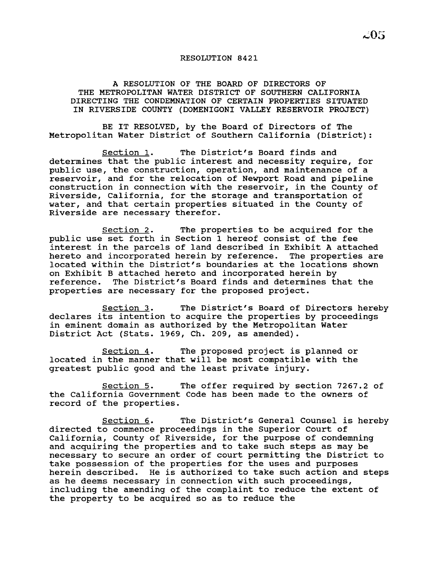## RESOLUTION 8421

A RESOLUTION OF THE BOARD OF DIRECTORS OF THE METROPOLITAN WATER DISTRICT OF SOUTHERN CALIFORNIA DIRECTING THE CONDEMNATION OF CERTAIN PROPERTIES SITUATED IN RIVERSIDE COUNTY (DOMENIGONI VALLEY RESERVOIR PROJECT)

BE IT RESOLVED, by the Board of Directors of The Metropolitan Water District of Southern California (District):

section 1. The District's Board finds and determines that the public interest and necessity require, for public use, the construction, operation, and maintenance of a reservoir, and for the relocation of Newport Road and pipeline construction in connection with the reservoir, in the County of Riverside, California, for the storage and transportation of water, and that certain properties situated in the County of Riverside are necessary therefor.

Section 2. The properties to be acquired for the public use set forth in Section 1 hereof consist of the fee interest in the parcels of land described in Exhibit <sup>A</sup> attached hereto and incorporated herein by reference. The properties are located within the District's boundaries at the locations shown on Exhibit B attached hereto and incorporated herein by reference. The District's Board finds and determines t The District's Board finds and determines that the properties are necessary for the proposed project.

Section 3. The District's Board of Directors hereby declares its intention to acquire the properties by proceedings in eminent domain as authorized by the Metropolitan Water District Act (Stats. 1969, Ch. 209, as amended).

Section 4. The proposed project is planned or located in the manner that will be most compatible with the greatest public good and the least private injury.

Section 5. The offer required by section 7267.2 of the California Government Code has been made to the owners of record of the properties.

Section 6. The District's General Counsel is hereby directed to commence proceedings in the Superior Court of California, County of Riverside, for the purpose of condemning and acquiring the properties and to take such steps as may be necessary to secure an order of court permitting the District to take possession of the properties for the uses and purposes herein described. He is authorized to take such action and steps as he deems necessary in connection with such proceedings, including the amending of the complaint to reduce the extent of the property to be acquired so as to reduce the